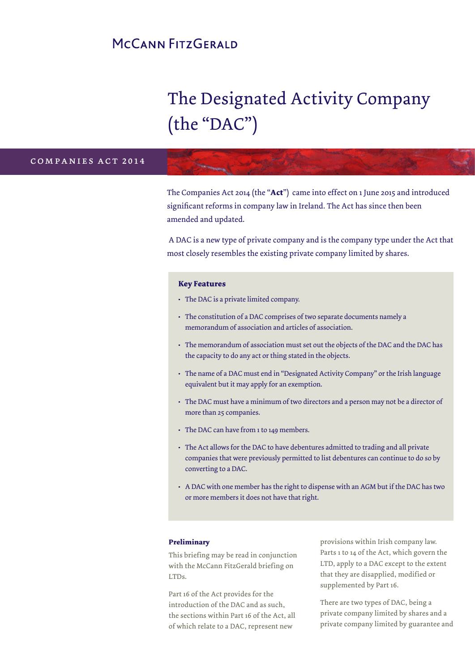## MCCANN FITZGERALD

# The Designated Activity Company (the "DAC")

### companies act 2014

The Companies Act 2014 (the "**Act**") came into effect on 1 June 2015 and introduced significant reforms in company law in Ireland. The Act has since then been amended and updated.

 A DAC is a new type of private company and is the company type under the Act that most closely resembles the existing private company limited by shares.

### **Key Features**

- **•** The DAC is a private limited company.
- **•** The constitution of a DAC comprises of two separate documents namely a memorandum of association and articles of association.
- **•** The memorandum of association must set out the objects of the DAC and the DAC has the capacity to do any act or thing stated in the objects.
- **•** The name of a DAC must end in "Designated Activity Company" or the Irish language equivalent but it may apply for an exemption.
- **•** The DAC must have a minimum of two directors and a person may not be a director of more than 25 companies.
- **•** The DAC can have from 1 to 149 members.
- **•** The Act allows for the DAC to have debentures admitted to trading and all private companies that were previously permitted to list debentures can continue to do so by converting to a DAC.
- **•** A DAC with one member has the right to dispense with an AGM but if the DAC has two or more members it does not have that right.

### **Preliminary**

This briefing may be read in conjunction with the McCann FitzGerald briefing on LTDs.

Part 16 of the Act provides for the introduction of the DAC and as such, the sections within Part 16 of the Act, all of which relate to a DAC, represent new

provisions within Irish company law. Parts 1 to 14 of the Act, which govern the LTD, apply to a DAC except to the extent that they are disapplied, modified or supplemented by Part 16.

There are two types of DAC, being a private company limited by shares and a private company limited by guarantee and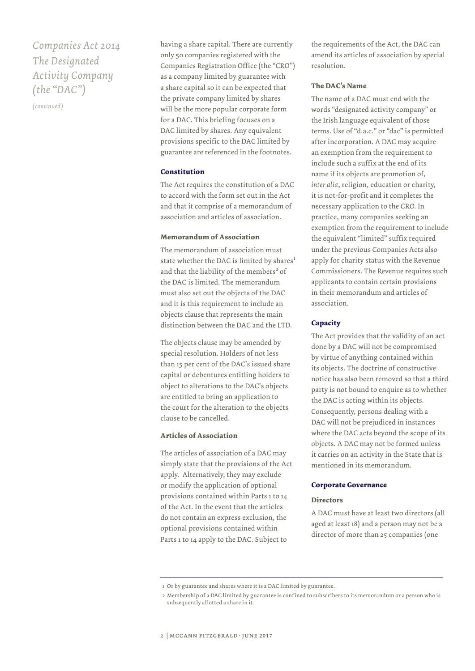### *Companies Act 2014 The Designated Activity Company (the "DAC")*

*(continued)*

having a share capital. There are currently only 50 companies registered with the Companies Registration Office (the "CRO") as a company limited by guarantee with a share capital so it can be expected that the private company limited by shares will be the more popular corporate form for a DAC. This briefing focuses on a DAC limited by shares. Any equivalent provisions specific to the DAC limited by guarantee are referenced in the footnotes.

### **Constitution**

The Act requires the constitution of a DAC to accord with the form set out in the Act and that it comprise of a memorandum of association and articles of association.

### **Memorandum of Association**

The memorandum of association must state whether the DAC is limited by shares<sup>1</sup> and that the liability of the members<sup>2</sup> of the DAC is limited. The memorandum must also set out the objects of the DAC and it is this requirement to include an objects clause that represents the main distinction between the DAC and the LTD.

The objects clause may be amended by special resolution. Holders of not less than 15 per cent of the DAC's issued share capital or debentures entitling holders to object to alterations to the DAC's objects are entitled to bring an application to the court for the alteration to the objects clause to be cancelled.

### **Articles of Association**

The articles of association of a DAC may simply state that the provisions of the Act apply. Alternatively, they may exclude or modify the application of optional provisions contained within Parts 1 to 14 of the Act. In the event that the articles do not contain an express exclusion, the optional provisions contained within Parts 1 to 14 apply to the DAC. Subject to

the requirements of the Act, the DAC can amend its articles of association by special resolution.

### **The DAC's Name**

The name of a DAC must end with the words "designated activity company" or the Irish language equivalent of those terms. Use of "d.a.c." or "dac" is permitted after incorporation. A DAC may acquire an exemption from the requirement to include such a suffix at the end of its name if its objects are promotion of, *inter alia*, religion, education or charity, it is not-for-profit and it completes the necessary application to the CRO. In practice, many companies seeking an exemption from the requirement to include the equivalent "limited" suffix required under the previous Companies Acts also apply for charity status with the Revenue Commissioners. The Revenue requires such applicants to contain certain provisions in their memorandum and articles of association.

### **Capacity**

The Act provides that the validity of an act done by a DAC will not be compromised by virtue of anything contained within its objects. The doctrine of constructive notice has also been removed so that a third party is not bound to enquire as to whether the DAC is acting within its objects. Consequently, persons dealing with a DAC will not be prejudiced in instances where the DAC acts beyond the scope of its objects. A DAC may not be formed unless it carries on an activity in the State that is mentioned in its memorandum.

### **Corporate Governance**

#### **Directors**

A DAC must have at least two directors (all aged at least 18) and a person may not be a director of more than 25 companies (one

 <sup>1</sup> Or by guarantee and shares where it is a DAC limited by guarantee.

 <sup>2</sup> Membership of a DAC limited by guarantee is confined to subscribers to its memorandum or a person who is subsequently allotted a share in it.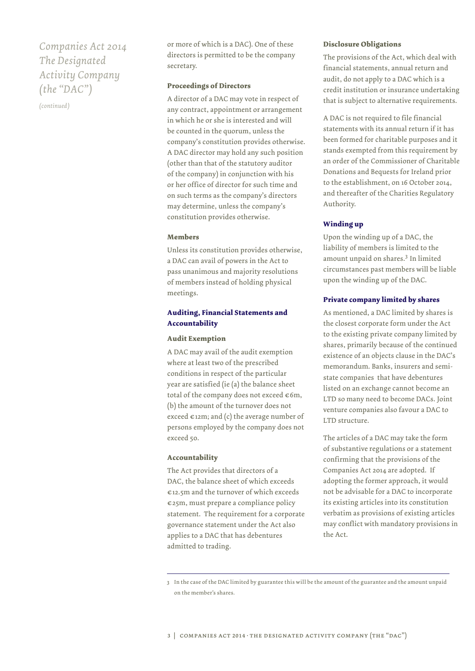### *Companies Act 2014 The Designated Activity Company (the "DAC")*

*(continued)*

or more of which is a DAC). One of these directors is permitted to be the company secretary.

### **Proceedings of Directors**

A director of a DAC may vote in respect of any contract, appointment or arrangement in which he or she is interested and will be counted in the quorum, unless the company's constitution provides otherwise. A DAC director may hold any such position (other than that of the statutory auditor of the company) in conjunction with his or her office of director for such time and on such terms as the company's directors may determine, unless the company's constitution provides otherwise.

### **Members**

Unless its constitution provides otherwise, a DAC can avail of powers in the Act to pass unanimous and majority resolutions of members instead of holding physical meetings.

### **Auditing, Financial Statements and Accountability**

### **Audit Exemption**

A DAC may avail of the audit exemption where at least two of the prescribed conditions in respect of the particular year are satisfied (ie (a) the balance sheet total of the company does not exceed  $\epsilon$ 6m, (b) the amount of the turnover does not exceed  $\epsilon$ 12m; and (c) the average number of persons employed by the company does not exceed 50.

### **Accountability**

The Act provides that directors of a DAC, the balance sheet of which exceeds €12.5m and the turnover of which exceeds €25m, must prepare a compliance policy statement. The requirement for a corporate governance statement under the Act also applies to a DAC that has debentures admitted to trading.

### **Disclosure Obligations**

The provisions of the Act, which deal with financial statements, annual return and audit, do not apply to a DAC which is a credit institution or insurance undertaking that is subject to alternative requirements.

A DAC is not required to file financial statements with its annual return if it has been formed for charitable purposes and it stands exempted from this requirement by an order of the Commissioner of Charitable Donations and Bequests for Ireland prior to the establishment, on 16 October 2014, and thereafter of the Charities Regulatory Authority.

### **Winding up**

Upon the winding up of a DAC, the liability of members is limited to the amount unpaid on shares.<sup>3</sup> In limited circumstances past members will be liable upon the winding up of the DAC.

### **Private company limited by shares**

As mentioned, a DAC limited by shares is the closest corporate form under the Act to the existing private company limited by shares, primarily because of the continued existence of an objects clause in the DAC's memorandum. Banks, insurers and semistate companies that have debentures listed on an exchange cannot become an LTD so many need to become DACs. Joint venture companies also favour a DAC to LTD structure.

The articles of a DAC may take the form of substantive regulations or a statement confirming that the provisions of the Companies Act 2014 are adopted. If adopting the former approach, it would not be advisable for a DAC to incorporate its existing articles into its constitution verbatim as provisions of existing articles may conflict with mandatory provisions in the Act.

3 In the case of the DAC limited by guarantee this will be the amount of the guarantee and the amount unpaid on the member's shares.